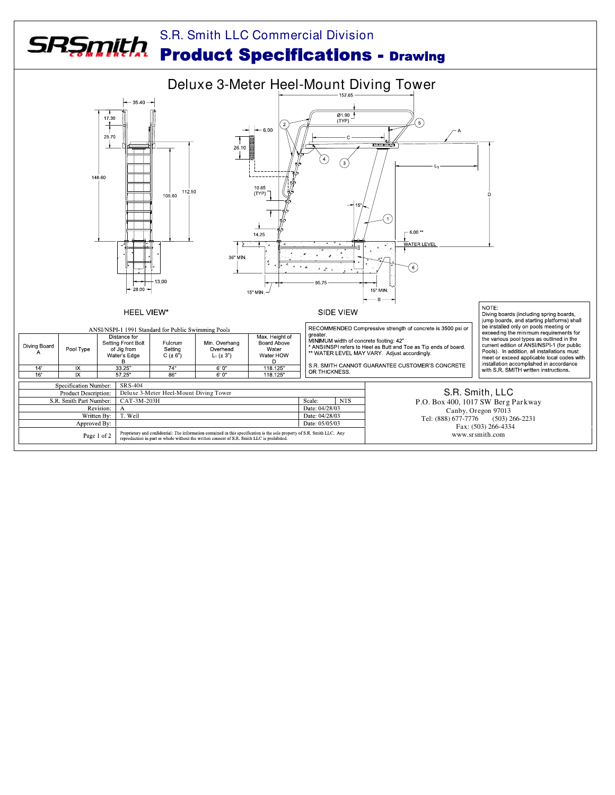